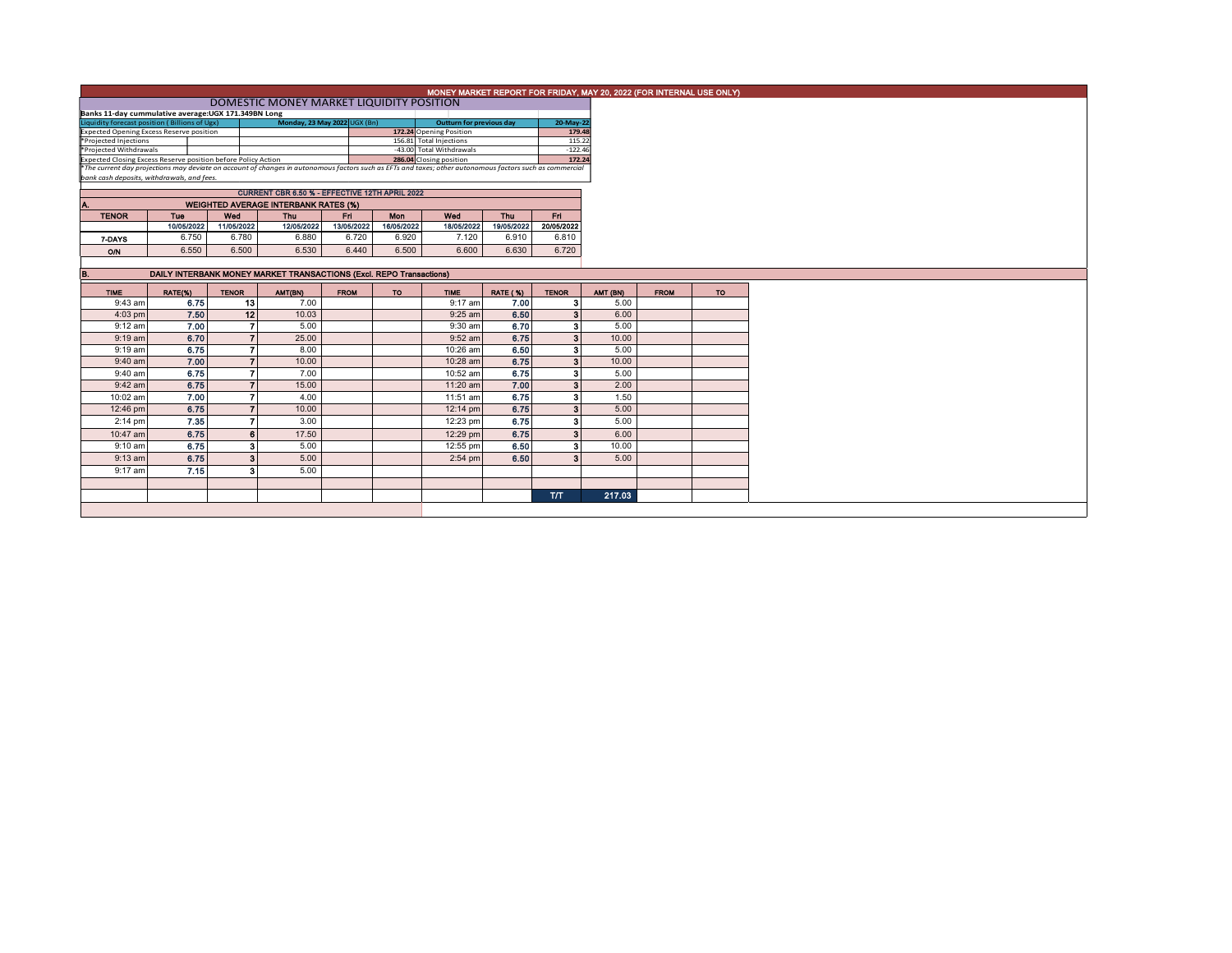|                                                                                                                                                          | MONEY MARKET REPORT FOR FRIDAY, MAY 20, 2022 (FOR INTERNAL USE ONLY) |              |                                                |             |                                                     |                         |                     |                         |          |             |           |  |
|----------------------------------------------------------------------------------------------------------------------------------------------------------|----------------------------------------------------------------------|--------------|------------------------------------------------|-------------|-----------------------------------------------------|-------------------------|---------------------|-------------------------|----------|-------------|-----------|--|
|                                                                                                                                                          |                                                                      |              |                                                |             |                                                     |                         |                     |                         |          |             |           |  |
| Banks 11-day cummulative average: UGX 171.349BN Long                                                                                                     |                                                                      |              |                                                |             |                                                     |                         |                     |                         |          |             |           |  |
| Liquidity forecast position (Billions of Ugx)<br>Monday, 23 May 2022 UGX (Bn)<br>20-May-22<br><b>Outturn for previous day</b>                            |                                                                      |              |                                                |             |                                                     |                         |                     |                         |          |             |           |  |
| <b>Expected Opening Excess Reserve position</b>                                                                                                          |                                                                      |              |                                                |             |                                                     | 172.24 Opening Position |                     | 179.48                  |          |             |           |  |
| *Projected Injections                                                                                                                                    |                                                                      |              |                                                |             |                                                     | 156.81 Total Injections |                     | 115.22                  |          |             |           |  |
| *Projected Withdrawals<br>Expected Closing Excess Reserve position before Policy Action                                                                  |                                                                      |              |                                                |             | -43.00 Total Withdrawals<br>286.04 Closing position |                         | $-122.46$<br>172.24 |                         |          |             |           |  |
| *The current day projections may deviate on account of changes in autonomous factors such as EFTs and taxes; other autonomous factors such as commercial |                                                                      |              |                                                |             |                                                     |                         |                     |                         |          |             |           |  |
| bank cash deposits, withdrawals, and fees.                                                                                                               |                                                                      |              |                                                |             |                                                     |                         |                     |                         |          |             |           |  |
|                                                                                                                                                          |                                                                      |              | CURRENT CBR 6.50 % - EFFECTIVE 12TH APRIL 2022 |             |                                                     |                         |                     |                         |          |             |           |  |
| ٨.                                                                                                                                                       |                                                                      |              | <b>WEIGHTED AVERAGE INTERBANK RATES (%)</b>    |             |                                                     |                         |                     |                         |          |             |           |  |
| <b>TENOR</b>                                                                                                                                             | Tue                                                                  | Wed          | <b>Thu</b>                                     | Fri.        | <b>Mon</b>                                          | Wed                     | <b>Thu</b>          | Fri.                    |          |             |           |  |
|                                                                                                                                                          | 10/05/2022                                                           | 11/05/2022   | 12/05/2022                                     | 13/05/2022  | 16/05/2022                                          | 18/05/2022              | 19/05/2022          | 20/05/2022              |          |             |           |  |
| 7-DAYS                                                                                                                                                   | 6.750                                                                | 6.780        | 6.880                                          | 6.720       | 6.920                                               | 7.120                   | 6.910               | 6.810                   |          |             |           |  |
| <b>O/N</b>                                                                                                                                               | 6.550                                                                | 6.500        | 6.530                                          | 6.440       | 6.500                                               | 6.600                   | 6.630               | 6.720                   |          |             |           |  |
|                                                                                                                                                          |                                                                      |              |                                                |             |                                                     |                         |                     |                         |          |             |           |  |
| <b>B.</b>                                                                                                                                                | DAILY INTERBANK MONEY MARKET TRANSACTIONS (Excl. REPO Transactions)  |              |                                                |             |                                                     |                         |                     |                         |          |             |           |  |
|                                                                                                                                                          |                                                                      |              |                                                |             |                                                     |                         |                     |                         |          |             |           |  |
| <b>TIME</b>                                                                                                                                              | RATE(%)                                                              | <b>TENOR</b> | AMT(BN)                                        | <b>FROM</b> | <b>TO</b>                                           | <b>TIME</b>             | <b>RATE (%)</b>     | <b>TENOR</b>            | AMT (BN) | <b>FROM</b> | <b>TO</b> |  |
| 9:43 am                                                                                                                                                  | 6.75                                                                 | 13           | 7.00                                           |             |                                                     | $9:17$ am               | 7.00                | 3                       | 5.00     |             |           |  |
| $4:03$ pm                                                                                                                                                | 7.50                                                                 | 12           | 10.03                                          |             |                                                     | $9:25$ am               | 6.50                | $\overline{\mathbf{3}}$ | 6.00     |             |           |  |
| 9:12 am                                                                                                                                                  | 7.00                                                                 | 7            | 5.00                                           |             |                                                     | 9:30 am                 | 6.70                | 3                       | 5.00     |             |           |  |
| $9:19$ am                                                                                                                                                | 6.70                                                                 |              | 25.00                                          |             |                                                     | $9:52$ am               | 6.75                | $\mathbf{3}$            | 10.00    |             |           |  |
| $9:19$ am                                                                                                                                                | 6.75                                                                 |              | 8.00                                           |             |                                                     | 10:26 am                | 6.50                | 3                       | 5.00     |             |           |  |
| $9:40$ am                                                                                                                                                | 7.00                                                                 |              | 10.00                                          |             |                                                     | 10:28 am                | 6.75                | $\overline{\mathbf{3}}$ | 10.00    |             |           |  |
| 9:40 am                                                                                                                                                  | 6.75                                                                 |              | 7.00                                           |             |                                                     | 10:52 am                | 6.75                | $\overline{\mathbf{3}}$ | 5.00     |             |           |  |
| $9:42$ am                                                                                                                                                | 6.75                                                                 |              | 15.00                                          |             |                                                     | 11:20 am                | 7.00                | $\mathbf{3}$            | 2.00     |             |           |  |
| 10:02 am                                                                                                                                                 | 7.00                                                                 |              | 4.00                                           |             |                                                     | 11:51 am                | 6.75                | 3                       | 1.50     |             |           |  |
| 12:46 pm                                                                                                                                                 | 6.75                                                                 |              | 10.00                                          |             |                                                     | $12:14 \text{ pm}$      | 6.75                | 3                       | 5.00     |             |           |  |
| 2:14 pm                                                                                                                                                  | 7.35                                                                 |              | 3.00                                           |             |                                                     | 12:23 pm                | 6.75                | 3                       | 5.00     |             |           |  |
| 10:47 am                                                                                                                                                 | 6.75                                                                 | 6            | 17.50                                          |             |                                                     |                         | 6.75                | $\overline{\mathbf{3}}$ | 6.00     |             |           |  |
|                                                                                                                                                          |                                                                      |              |                                                |             |                                                     | 12:29 pm                |                     |                         |          |             |           |  |
| $9:10$ am                                                                                                                                                | 6.75                                                                 | 3            | 5.00                                           |             |                                                     | 12:55 pm                | 6.50                | 3                       | 10.00    |             |           |  |
| $9:13$ am                                                                                                                                                | 6.75                                                                 | 3            | 5.00                                           |             |                                                     | $2:54$ pm               | 6.50                | Э                       | 5.00     |             |           |  |
| 9:17 am                                                                                                                                                  | 7.15                                                                 | 3            | 5.00                                           |             |                                                     |                         |                     |                         |          |             |           |  |
|                                                                                                                                                          |                                                                      |              |                                                |             |                                                     |                         |                     |                         |          |             |           |  |
|                                                                                                                                                          |                                                                      |              |                                                |             |                                                     |                         |                     | <b>T/T</b>              | 217.03   |             |           |  |
|                                                                                                                                                          |                                                                      |              |                                                |             |                                                     |                         |                     |                         |          |             |           |  |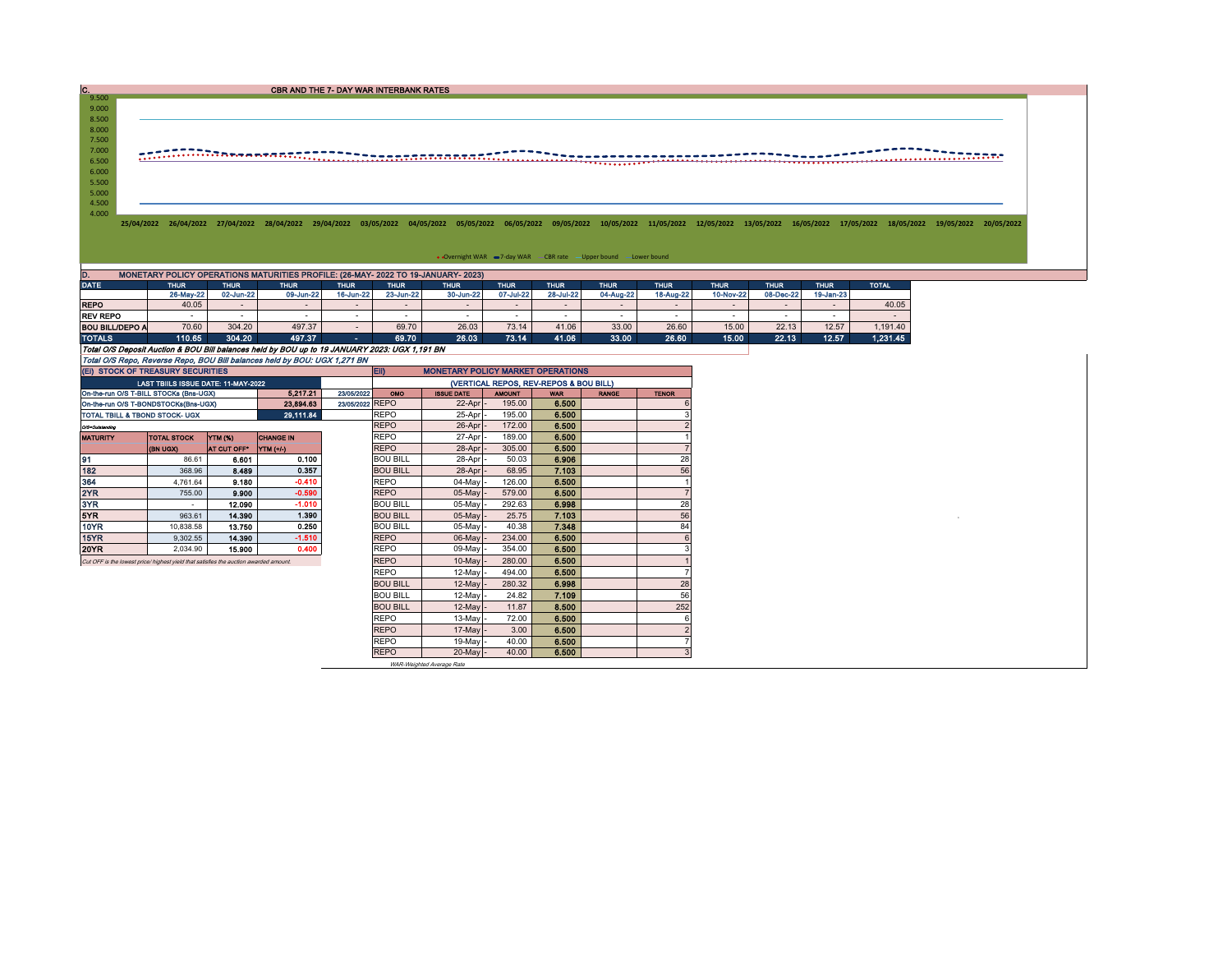| C.             | CBR AND THE 7- DAY WAR INTERBANK RATES                                                                                                                                                                                          |
|----------------|---------------------------------------------------------------------------------------------------------------------------------------------------------------------------------------------------------------------------------|
| 9.500          |                                                                                                                                                                                                                                 |
| 9.000          |                                                                                                                                                                                                                                 |
| 8.500          |                                                                                                                                                                                                                                 |
| 8.000          |                                                                                                                                                                                                                                 |
| 7.500          |                                                                                                                                                                                                                                 |
| 7.000<br>6.500 | <del>.</del>                                                                                                                                                                                                                    |
| 6.000          |                                                                                                                                                                                                                                 |
| 5.500          |                                                                                                                                                                                                                                 |
| 5.000          |                                                                                                                                                                                                                                 |
| 4.500          |                                                                                                                                                                                                                                 |
| 4.000          |                                                                                                                                                                                                                                 |
|                | 25/04/2022 26/04/2022 27/04/2022 28/04/2022 29/04/2022 03/05/2022 04/05/2022 05/05/2022 06/05/2022 10/05/2022 10/05/2022 12/05/2022 13/05/2022 16/05/2022 17/05/2022 18/05/2022 19/05/2022 19/05/2022 19/05/2022 19/05/2022 19/ |
|                |                                                                                                                                                                                                                                 |
|                |                                                                                                                                                                                                                                 |
|                | • Overnight WAR -7-day WAR - CBR rate - Upper bound - Lower bound                                                                                                                                                               |
|                |                                                                                                                                                                                                                                 |
| D.             | MONETARY POLICY OPERATIONS MATURITIES PROFILE: (26-MAY- 2022 TO 19-JANUARY- 2023)                                                                                                                                               |

| <b>DATE</b>                                                                                   | <b>THUR</b> | <b>THUR</b> | <b>THUR</b> | <b>THUR</b> | <b>THUR</b> | <b>THUR</b> | <b>THUR</b> | <b>THUR</b> | <b>THUR</b> | <b>THUR</b> | <b>THUR</b> | <b>THUR</b> | <b>THUR</b>  | <b>TOTAL</b> |
|-----------------------------------------------------------------------------------------------|-------------|-------------|-------------|-------------|-------------|-------------|-------------|-------------|-------------|-------------|-------------|-------------|--------------|--------------|
|                                                                                               | 26-May-22   | 02-Jun-22   | 09-Jun-22   | 16-Jun-22   | 23-Jun-22   | 30-Jun-22   | 07-Jul-22   | 28-Jul-22   | 04-Aug-22   | 18-Aug-22   | 10-Nov-22   | 08-Dec-22   | $19$ -Jan-23 |              |
| <b>REPO</b>                                                                                   | 40.05       | $\sim$      | -           |             |             |             |             |             |             |             |             |             |              | 40.05        |
| <b>REV REPO</b>                                                                               |             |             | -           |             |             |             |             |             |             | . .         |             |             |              |              |
| BOU BILL/DEPO A                                                                               | 70.60       | 304.20      | 497.37      |             | 69.70       | 26.03       | 73.14       | 41.06       | 33.00       | 26.60       | 15.00       | 22.13       | 12.57        | 1.191.40     |
| <b>TOTALS</b>                                                                                 | 110.65      | 304.20      | 497.37      | <b>COL</b>  | 69.70       | 26.03       | 73.14       | 41.06       | 33.00       | 26.60       | 15.00       | 22.13       | 12.57        | 1.231.45     |
| Total O/S Deposit Auction & BOU Bill balances held by BOU up to 19 JANUARY 2023: UGX 1.191 BN |             |             |             |             |             |             |             |             |             |             |             |             |              |              |
| Total O/S Repo, Reverse Repo, BOU Bill balances held by BOU: UGX 1,271 BN                     |             |             |             |             |             |             |             |             |             |             |             |             |              |              |

| (EI) STOCK OF TREASURY SECURITIES                                                     |                                        |                    |                       |            | <b>ED</b><br><b>MONETARY POLICY MARKET OPERATIONS</b> |                   |               |            |              |                |  |  |  |
|---------------------------------------------------------------------------------------|----------------------------------------|--------------------|-----------------------|------------|-------------------------------------------------------|-------------------|---------------|------------|--------------|----------------|--|--|--|
|                                                                                       | LAST TBIILS ISSUE DATE: 11-MAY-2022    |                    |                       |            | (VERTICAL REPOS, REV-REPOS & BOU BILL)                |                   |               |            |              |                |  |  |  |
|                                                                                       | On-the-run O/S T-BILL STOCKs (Bns-UGX) |                    | 5.217.21              | 23/05/2022 | OMO                                                   | <b>ISSUE DATE</b> | <b>AMOUNT</b> | <b>WAR</b> | <b>RANGE</b> | <b>TENOR</b>   |  |  |  |
|                                                                                       | On-the-run O/S T-BONDSTOCKs(Bns-UGX)   | 23/05/2022 REPO    |                       | 22-Apr     | 195.00                                                | 6.500             |               |            |              |                |  |  |  |
| TOTAL TBILL & TBOND STOCK- UGX                                                        |                                        |                    | 29,111.84             |            | <b>REPO</b>                                           | 25-Apr            | 195.00        | 6.500      |              |                |  |  |  |
| Q/S=Outstanding                                                                       |                                        |                    |                       |            | <b>REPO</b>                                           | 26-Apr            | 172.00        | 6.500      |              |                |  |  |  |
| <b>MATURITY</b>                                                                       | <b>TOTAL STOCK</b>                     | YTM (%)            | <b>CHANGE IN</b>      |            | <b>REPO</b>                                           | 27-Apr            | 189.00        | 6.500      |              |                |  |  |  |
|                                                                                       | <b>(BN UGX)</b>                        | <b>AT CUT OFF"</b> | $\Upsilon$ TM $(+/-)$ |            | <b>REPO</b>                                           | 28-Apr            | 305.00        | 6.500      |              |                |  |  |  |
| 91                                                                                    | 86.61                                  | 6.601              | 0.100                 |            | <b>BOU BILL</b>                                       | 28-Apr            | 50.03         | 6.906      |              | 28             |  |  |  |
| 182                                                                                   | 368.96                                 | 8.489              | 0.357                 |            | <b>BOU BILL</b>                                       | 28-Apr            | 68.95         | 7.103      |              | 56             |  |  |  |
| 364                                                                                   | 4.761.64                               | 9.180              | $-0.410$              |            | <b>REPO</b>                                           | 04-May            | 126.00        | 6.500      |              |                |  |  |  |
| 2YR                                                                                   | 755.00                                 | 9.900              | $-0.590$              |            | <b>REPO</b>                                           | 05-May -          | 579.00        | 6.500      |              |                |  |  |  |
| 3YR                                                                                   | $\sim$                                 | 12.090             | $-1.010$              |            | <b>BOU BILL</b>                                       | 05-May            | 292.63        | 6.998      |              | 28             |  |  |  |
| 5YR.                                                                                  | 963.61                                 | 14,390             | 1.390                 |            | <b>BOU BILL</b>                                       | $05$ -May         | 25.75         | 7.103      |              | 56             |  |  |  |
| 10YR                                                                                  | 10.838.58                              | 13.750             | 0.250                 |            | <b>BOU BILL</b>                                       | 05-May            | 40.38         | 7.348      |              | 84             |  |  |  |
| 15YR                                                                                  | 9.302.55                               | 14.390             | $-1.510$              |            | <b>REPO</b>                                           | 06-May            | 234.00        | 6.500      |              | 6              |  |  |  |
| 20YR                                                                                  | 2.034.90                               | 15,900             | 0.400                 |            | <b>REPO</b>                                           | 09-May            | 354.00        | 6.500      |              |                |  |  |  |
| Cut OFF is the lowest price/ highest yield that satisfies the auction awarded amount. |                                        | <b>REPO</b>        | $10$ -May             | 280.00     | 6.500                                                 |                   |               |            |              |                |  |  |  |
|                                                                                       |                                        |                    | <b>REPO</b>           | 12-May     | 494.00                                                | 6.500             |               |            |              |                |  |  |  |
|                                                                                       |                                        |                    |                       |            | <b>BOU BILL</b>                                       | $12$ -May         | 280.32        | 6.998      |              | 28             |  |  |  |
|                                                                                       |                                        |                    |                       |            | <b>BOU BILL</b>                                       | $12-May$          | 24.82         | 7.109      |              | 56             |  |  |  |
|                                                                                       |                                        |                    |                       |            | <b>BOU BILL</b>                                       | $12$ -May         | 11.87         | 8.500      |              | 252            |  |  |  |
|                                                                                       |                                        |                    |                       |            | <b>REPO</b>                                           | 13-May            | 72.00         | 6.500      |              | 6              |  |  |  |
|                                                                                       |                                        |                    |                       |            | <b>REPO</b>                                           | $17$ -May         | 3.00          | 6.500      |              |                |  |  |  |
|                                                                                       |                                        |                    |                       |            | <b>REPO</b>                                           | 19-May            | 40.00         | 6.500      |              |                |  |  |  |
|                                                                                       |                                        |                    |                       |            | <b>REPO</b>                                           | 20-May -          | 40.00         | 6.500      |              | 3 <sup>1</sup> |  |  |  |

WAR-Weighted Average Rate